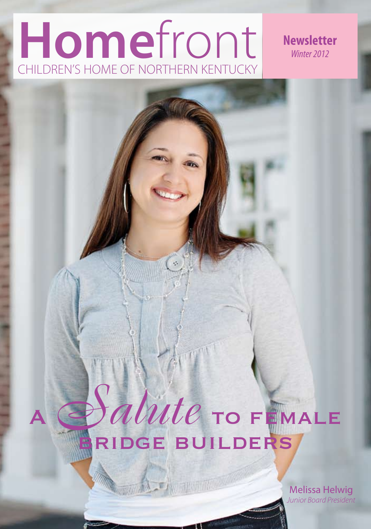## **Home**front CHILDREN'S HOME OF NORTHERN KENTUCKY

# <sup>A</sup>*Salute* to female BRIDGE BUILDERS

Maria Land

Melissa Helwig *Junior Board President*

**Newsletter** *Winter 2012*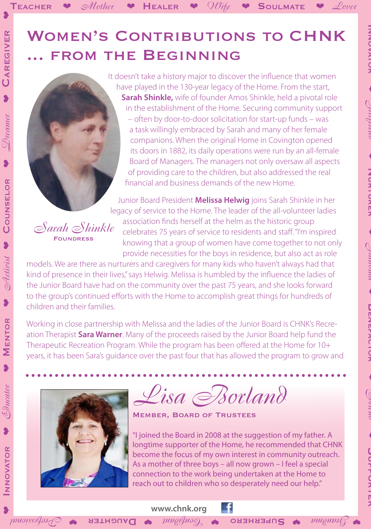It doesn't take a history major to discover the influence that women have played in the 130-year legacy of the Home. From the start, **Sarah Shinkle,** wife of founder Amos Shinkle, held a pivotal role in the establishment of the Home. Securing community support – often by door-to-door solicitation for start-up funds – was a task willingly embraced by Sarah and many of her female companions. When the original Home in Covington opened its doors in 1882, its daily operations were run by an all-female Board of Managers. The managers not only oversaw all aspects of providing care to the children, but also addressed the real financial and business demands of the new Home.

INNO<br>Vertica

❤

*Girlfriend*

❤

INURTURER

❤

*Grandma*

❤

**ファミリンクークス** 

❤

*Friend*

❤

**Support Curence** 

TEACHER  $\blacktriangleright$  *Mother*  $\blacktriangleright$  HEALER  $\blacktriangleright$  *Wife*  $\blacktriangleright$  SOULMATE  $\blacktriangleright$  *Lover* 

Junior Board President **Melissa Helwig** joins Sarah Shinkle in her legacy of service to the Home. The leader of the all-volunteer ladies association finds herself at the helm as the historic group celebrates 75 years of service to residents and staff. "I'm inspired knowing that a group of women have come together to not only provide necessities for the boys in residence, but also act as role

models. We are there as nurturers and caregivers for many kids who haven't always had that kind of presence in their lives," says Helwig. Melissa is humbled by the influence the ladies of the Junior Board have had on the community over the past 75 years, and she looks forward to the group's continued efforts with the Home to accomplish great things for hundreds of children and their families.

Working in close partnership with Melissa and the ladies of the Junior Board is CHNK's Recreation Therapist **Sara Warner**. Many of the proceeds raised by the Junior Board help fund the Therapeutic Recreation Program. While the program has been offered at the Home for 10+ years, it has been Sara's guidance over the past four that has allowed the program to grow and



*Sarah Shinkle* **FOUNDRESS** 

*Lisa Borland*

Member, Board of Trustees

**www.chnk.org** 

 $\bullet$  Sumbind  $\bullet$  Superhero  $\bullet$  Sonfidum  $\bullet$  Daughter  $\bullet$  Daughters  $\bullet$ 

"I joined the Board in 2008 at the suggestion of my father. A longtime supporter of the Home, he recommended that CHNK become the focus of my own interest in community outreach. As a mother of three boys – all now grown – I feel a special connection to the work being undertaken at the Home to reach out to children who so desperately need our help."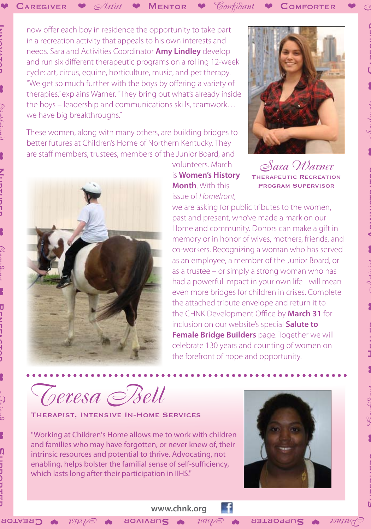**Innovator** 

❤

*Girlfriend*

❤

**Nurturer** 

**NINTIDITION** 

❤

*Grandma*

❤

DREVEN ATOD

カリミリリン)

❤

*Friend*

❤

Ω

Dundoria<br>Supporter

now offer each boy in residence the opportunity to take part in a recreation activity that appeals to his own interests and needs. Sara and Activities Coordinator **Amy Lindley** develop and run six different therapeutic programs on a rolling 12-week cycle: art, circus, equine, horticulture, music, and pet therapy. "We get so much further with the boys by offering a variety of therapies," explains Warner. "They bring out what's already inside the boys – leadership and communications skills, teamwork… we have big breakthroughs."

These women, along with many others, are building bridges to better futures at Children's Home of Northern Kentucky. They are staff members, trustees, members of the Junior Board, and



volunteers. March is **Women's History Month**. With this issue of *Homefront,*



*Sara Warner* Therapeutic Recreation Program Supervisor

we are asking for public tributes to the women, past and present, who've made a mark on our Home and community. Donors can make a gift in memory or in honor of wives, mothers, friends, and co-workers. Recognizing a woman who has served as an employee, a member of the Junior Board, or as a trustee – or simply a strong woman who has had a powerful impact in your own life - will mean even more bridges for children in crises. Complete the attached tribute envelope and return it to the CHNK Development Office by **March 31** for inclusion on our website's special **Salute to Female Bridge Builders** page. Together we will celebrate 130 years and counting of women on the forefront of hope and opportunity.

*Teresa Bell*

Therapist, Intensive In-Home Services

"Working at Children's Home allows me to work with children and families who may have forgotten, or never knew of, their intrinsic resources and potential to thrive. Advocating, not enabling, helps bolster the familial sense of self-sufficiency, which lasts long after their participation in IIHS."



r

 $\mathcal{L}_{\text{matrix}}$   $\bullet$  Supporter  $\bullet$   $\mathcal{L}_{\text{min}}$   $\bullet$  Survivor  $\bullet$   $\mathcal{L}_{\text{min}}$   $\bullet$  Creatior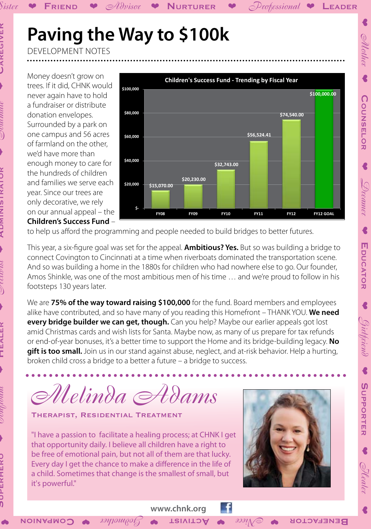## Paving the Way to \$100k

Advisor

**DEVELOPMENT NOTES** 

**FRIEND** 

Money doesn't grow on trees. If it did, CHNK would never again have to hold a fundraiser or distribute donation envelopes. Surrounded by a park on one campus and 56 acres of farmland on the other. we'd have more than enough money to care for the hundreds of children and families we serve each year. Since our trees are only decorative, we rely on our annual appeal - the **Children's Success Fund -**



 $\mathcal{P}$ rofessional  $\blacktriangleright$  LEADER

*Sillother* 

COUNSELOR

 $\bigtriangledown$ veamer

€

EDUCATOR

€

Girlfriend

 $\blacklozenge$ 

SUPPORTER

Nealer

to help us afford the programming and people needed to build bridges to better futures.

This year, a six-figure goal was set for the appeal. **Ambitious? Yes.** But so was building a bridge to connect Covington to Cincinnati at a time when riverboats dominated the transportation scene. And so was building a home in the 1880s for children who had nowhere else to go. Our founder, Amos Shinkle, was one of the most ambitious men of his time ... and we're proud to follow in his footsteps 130 years later.

**NURTURER** 

We are 75% of the way toward raising \$100,000 for the fund. Board members and employees alike have contributed, and so have many of you reading this Homefront - THANK YOU. We need every bridge builder we can get, though. Can you help? Maybe our earlier appeals got lost amid Christmas cards and wish lists for Santa. Maybe now, as many of us prepare for tax refunds or end-of-year bonuses, it's a better time to support the Home and its bridge-building legacy. No gift is too small. Join us in our stand against abuse, neglect, and at-risk behavior. Help a hurting, broken child cross a bridge to a better a future  $-$  a bridge to success.

Melinda Adams

THERAPIST, RESIDENTIAL TREATMENT

"I have a passion to facilitate a healing process; at CHNK I get that opportunity daily. I believe all children have a right to be free of emotional pain, but not all of them are that lucky. Every day I get the chance to make a difference in the life of a child. Sometimes that change is the smallest of small, but it's powerful."

 $\mu$ 

**UOINARINO** 



**BENEFACTOR** 

 $\partial \overline{\partial}$ 

Sister

 $\overline{\phantom{a}}$ 

**TRIVITOA**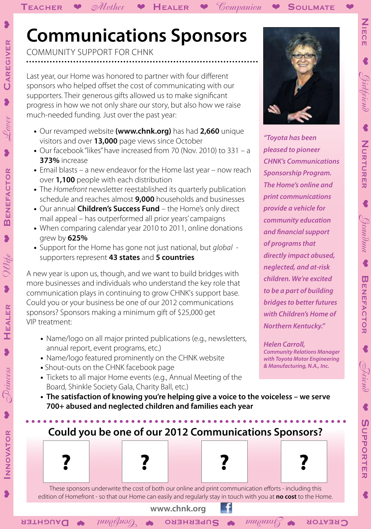community support for chnk

Last year, our Home was honored to partner with four different sponsors who helped offset the cost of communicating with our supporters. Their generous gifts allowed us to make significant progress in how we not only share our story, but also how we raise much-needed funding. Just over the past year:

- **•**  Our revamped website **(www.chnk.org)** has had **2,660** unique visitors and over **13,000** page views since October
- Our facebook "likes" have increased from 70 (Nov. 2010) to 331 a **373%** increase
- Email blasts a new endeavor for the Home last year now reach over **1,100** people with each distribution
- The *Homefront* newsletter reestablished its quarterly publication schedule and reaches almost **9,000** households and businesses
- Our annual **Children's Success Fund** the Home's only direct mail appeal – has outperformed all prior years' campaigns
- When comparing calendar year 2010 to 2011, online donations grew by **625%**
- **•**  Support for the Home has gone not just national, but *global* supporters represent **43 states** and **5 countries**

A new year is upon us, though, and we want to build bridges with more businesses and individuals who understand the key role that communication plays in continuing to grow CHNK's support base. Could you or your business be one of our 2012 communications sponsors? Sponsors making a minimum gift of \$25,000 get VIP treatment:

- Name/logo on all major printed publications (e.g., newsletters, annual report, event programs, etc.)
- Name/logo featured prominently on the CHNK website
- **•** Shout-outs on the CHNK facebook page
- Tickets to all major Home events (e.g., Annual Meeting of the Board, Shinkle Society Gala, Charity Ball, etc.)
- The satisfaction of knowing you're helping give a voice to the voiceless we serve  **700+ abused and neglected children and families each year**

*"Toyota has been pleased to pioneer CHNK's Communications Sponsorship Program. The Home's online and print communications provide a vehicle for community education and financial support of programs that directly impact abused, neglected, and at-risk children. We're excited to be a part of building bridges to better futures with Children's Home of Northern Kentucky."*

*Helen Carroll, Community Relations Manager with Toyota Motor Engineering* 

*& Manufacturing, N.A., Inc.*

These sponsors underwrite the cost of both our online and print communication efforts - including this edition of Homefront - so that our Home can easily and regularly stay in touch with you at **no cost** to the Home.

**? ? ? ?**

**Could you be one of our 2012 Communications Sponsors?**

 $\textbf{C}$ REATOR  $\textbf{v}$   $\textbf{C}$   $\textbf{w}$   $\textbf{D}$   $\textbf{v}$   $\textbf{D}$   $\textbf{v}$   $\textbf{D}$   $\textbf{v}$   $\textbf{D}$   $\textbf{v}$   $\textbf{D}$   $\textbf{v}$   $\textbf{D}$   $\textbf{v}$   $\textbf{D}$   $\textbf{v}$   $\textbf{D}$   $\textbf{v}$   $\textbf{D}$   $\textbf{v}$   $\textbf{D}$   $\textbf{v}$ 

NNOVATOR

Niece

 $\blacklozenge$ 

*Girlfriend*

 $\blacklozenge$ 

**Nurturer** 

NURTURER

 $\blacklozenge$ 

*Grandma*

 $\blacklozenge$ 

**Benefactor** 

**BENEFACTOR** 

❤

*Friend*

 $\blacklozenge$